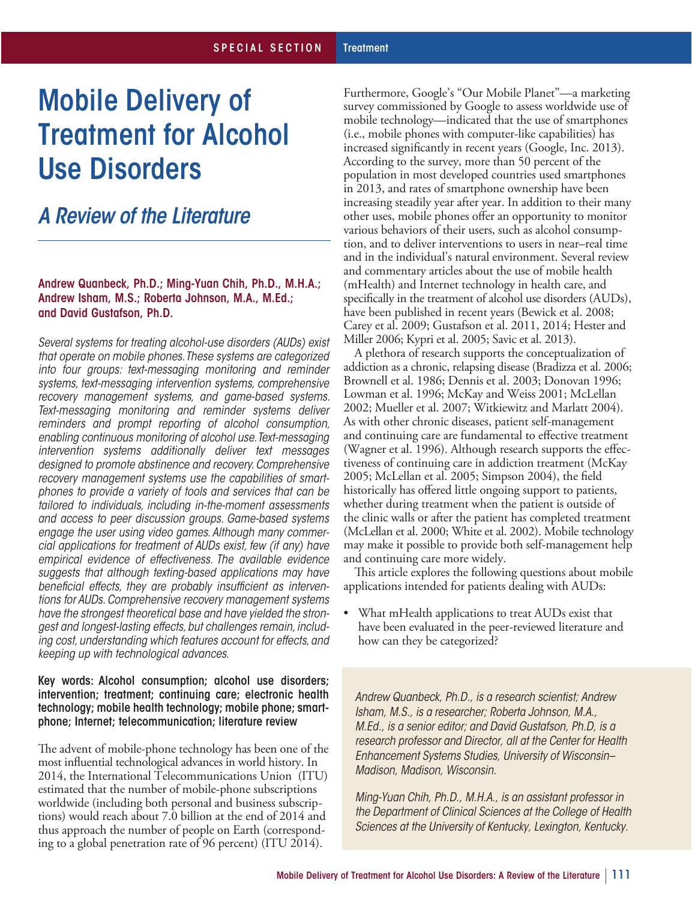# Mobile Delivery of Treatment for Alcohol Use Disorders

# *A Review of the Literature*

#### Andrew Quanbeck, Ph.D.; Ming-Yuan Chih, Ph.D., M.H.A.; Andrew Isham, M.S.; Roberta Johnson, M.A., M.Ed.; and David Gustafson, Ph.D.

*Several systems for treating alcohol-use disorders (AUDs) exist that operate on mobile phones.These systems are categorized into four groups: text-messaging monitoring and reminder systems, text-messaging intervention systems, comprehensive recovery management systems, and game-based systems. Text-messaging monitoring and reminder systems deliver reminders and prompt reporting of alcohol consumption, enabling continuous monitoring of alcohol use.Text-messaging intervention systems additionally deliver text messages designed to promote abstinence and recovery. Comprehensive recovery management systems use the capabilities of smartphones to provide a variety of tools and services that can be tailored to individuals, including in-the-moment assessments and access to peer discussion groups. Game-based systems engage the user using video games. Although many commercial applications for treatment of AUDs exist, few (if any) have empirical evidence of effectiveness. The available evidence suggests that although texting-based applications may have beneficial effects, they are probably insufficient as interventions for AUDs. Comprehensive recovery management systems have the strongest theoretical base and have yielded the strongest and longest-lasting effects, but challenges remain, including cost, understanding which features account for effects, and keeping up with technological advances.* 

#### Key words: Alcohol consumption; alcohol use disorders; intervention; treatment; continuing care; electronic health technology; mobile health technology; mobile phone; smartphone; Internet; telecommunication; literature review

 The advent of mobile-phone technology has been one of the most influential technological advances in world history. In 2014, the International Telecommunications Union (ITU) estimated that the number of mobile-phone subscriptions worldwide (including both personal and business subscrip- tions) would reach about 7.0 billion at the end of 2014 and thus approach the number of people on Earth (correspond-ing to a global penetration rate of 96 percent) (ITU 2014).

 Furthermore, Google's "Our Mobile Planet"—a marketing survey commissioned by Google to assess worldwide use of mobile technology—indicated that the use of smartphones (i.e., mobile phones with computer-like capabilities) has increased significantly in recent years (Google, Inc. 2013). According to the survey, more than 50 percent of the population in most developed countries used smartphones in 2013, and rates of smartphone ownership have been increasing steadily year after year. In addition to their many other uses, mobile phones offer an opportunity to monitor various behaviors of their users, such as alcohol consump- tion, and to deliver interventions to users in near–real time and in the individual's natural environment. Several review and commentary articles about the use of mobile health (mHealth) and Internet technology in health care, and specifically in the treatment of alcohol use disorders (AUDs), have been published in recent years (Bewick et al. 2008; Carey et al. 2009; Gustafson et al. 2011, 2014; Hester and Miller 2006; Kypri et al. 2005; Savic et al. 2013).

 A plethora of research supports the conceptualization of addiction as a chronic, relapsing disease (Bradizza et al. 2006; Brownell et al. 1986; Dennis et al. 2003; Donovan 1996; Lowman et al. 1996; McKay and Weiss 2001; McLellan 2002; Mueller et al. 2007; Witkiewitz and Marlatt 2004). As with other chronic diseases, patient self-management and continuing care are fundamental to effective treatment (Wagner et al. 1996). Although research supports the effec- tiveness of continuing care in addiction treatment (McKay 2005; McLellan et al. 2005; Simpson 2004), the field historically has offered little ongoing support to patients, whether during treatment when the patient is outside of the clinic walls or after the patient has completed treatment (McLellan et al. 2000; White et al. 2002). Mobile technology may make it possible to provide both self-management help and continuing care more widely.

 This article explores the following questions about mobile applications intended for patients dealing with AUDs:

 have been evaluated in the peer-reviewed literature and how can they be categorized? What mHealth applications to treat AUDs exist that

*Andrew Quanbeck, Ph.D., is a research scientist; Andrew Isham, M.S., is a researcher; Roberta Johnson, M.A., M.Ed., is a senior editor; and David Gustafson, Ph.D, is a research professor and Director, all at the Center for Health Enhancement Systems Studies, University of Wisconsin– Madison, Madison, Wisconsin.* 

*Ming-Yuan Chih, Ph.D., M.H.A., is an assistant professor in the Department of Clinical Sciences at the College of Health Sciences at the University of Kentucky, Lexington, Kentucky.*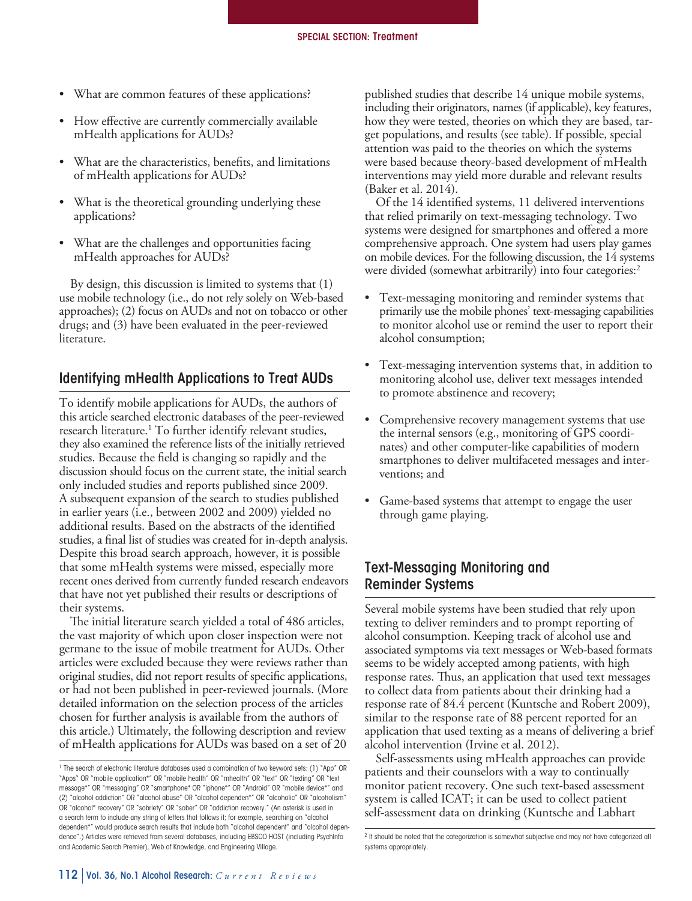- • What are common features of these applications?
- • How effective are currently commercially available mHealth applications for AUDs?
- • What are the characteristics, benefits, and limitations of mHealth applications for AUDs?
- What is the theoretical grounding underlying these applications?
- • What are the challenges and opportunities facing mHealth approaches for AUDs?

 By design, this discussion is limited to systems that (1) use mobile technology (i.e., do not rely solely on Web-based approaches); (2) focus on AUDs and not on tobacco or other drugs; and (3) have been evaluated in the peer-reviewed literature.

## Identifying mHealth Applications to Treat AUDs

 To identify mobile applications for AUDs, the authors of this article searched electronic databases of the peer-reviewed research literature.<sup>1</sup> To further identify relevant studies, they also examined the reference lists of the initially retrieved studies. Because the field is changing so rapidly and the discussion should focus on the current state, the initial search only included studies and reports published since 2009. A subsequent expansion of the search to studies published in earlier years (i.e., between 2002 and 2009) yielded no additional results. Based on the abstracts of the identified studies, a final list of studies was created for in-depth analysis. Despite this broad search approach, however, it is possible that some mHealth systems were missed, especially more recent ones derived from currently funded research endeavors that have not yet published their results or descriptions of their systems.

 The initial literature search yielded a total of 486 articles, the vast majority of which upon closer inspection were not germane to the issue of mobile treatment for AUDs. Other articles were excluded because they were reviews rather than original studies, did not report results of specific applications, or had not been published in peer-reviewed journals. (More detailed information on the selection process of the articles chosen for further analysis is available from the authors of this article.) Ultimately, the following description and review of mHealth applications for AUDs was based on a set of 20

 published studies that describe 14 unique mobile systems, including their originators, names (if applicable), key features, how they were tested, theories on which they are based, tar- get populations, and results (see table). If possible, special attention was paid to the theories on which the systems were based because theory-based development of mHealth interventions may yield more durable and relevant results (Baker et al. 2014).

 Of the 14 identified systems, 11 delivered interventions that relied primarily on text-messaging technology. Two systems were designed for smartphones and offered a more comprehensive approach. One system had users play games on mobile devices. For the following discussion, the 14 systems were divided (somewhat arbitrarily) into four categories:2

- • Text-messaging monitoring and reminder systems that primarily use the mobile phones' text-messaging capabilities to monitor alcohol use or remind the user to report their alcohol consumption;
- • Text-messaging intervention systems that, in addition to monitoring alcohol use, deliver text messages intended to promote abstinence and recovery;
- • Comprehensive recovery management systems that use the internal sensors (e.g., monitoring of GPS coordi- nates) and other computer-like capabilities of modern smartphones to deliver multifaceted messages and inter-ventions; and
- • Game-based systems that attempt to engage the user through game playing.

# Text-Messaging Monitoring and Reminder Systems

 Several mobile systems have been studied that rely upon texting to deliver reminders and to prompt reporting of alcohol consumption. Keeping track of alcohol use and associated symptoms via text messages or Web-based formats seems to be widely accepted among patients, with high response rates. Thus, an application that used text messages to collect data from patients about their drinking had a response rate of 84.4 percent (Kuntsche and Robert 2009), similar to the response rate of 88 percent reported for an application that used texting as a means of delivering a brief alcohol intervention (Irvine et al. 2012).

 Self-assessments using mHealth approaches can provide patients and their counselors with a way to continually monitor patient recovery. One such text-based assessment system is called ICAT; it can be used to collect patient self-assessment data on drinking (Kuntsche and Labhart

<sup>&</sup>lt;sup>1</sup> The search of electronic literature databases used a combination of two keyword sets: (1) "App" OR "Apps" OR "mobile application\*" OR "mobile health" OR "mhealth" OR "text" OR "texting" OR "text message\*" OR "messaging" OR "smartphone\* OR "iphone\*" OR "Android" OR "mobile device\*" and (2) "alcohol addiction" OR "alcohol abuse" OR "alcohol dependen\*" OR "alcoholic" OR "alcoholism" OR "alcohol\* recovery" OR "sobriety" OR "sober" OR "addiction recovery." (An asterisk is used in a search term to include any string of letters that follows it; for example, searching on "alcohol dependen\*" would produce search results that include both "alcohol dependent" and "alcohol dependence".) Articles were retrieved from several databases, including EBSCO HOST (including PsychInfo and Academic Search Premier), Web of Knowledge, and Engineering Village.

<sup>&</sup>lt;sup>2</sup> It should be noted that the categorization is somewhat subjective and may not have categorized all systems appropriately.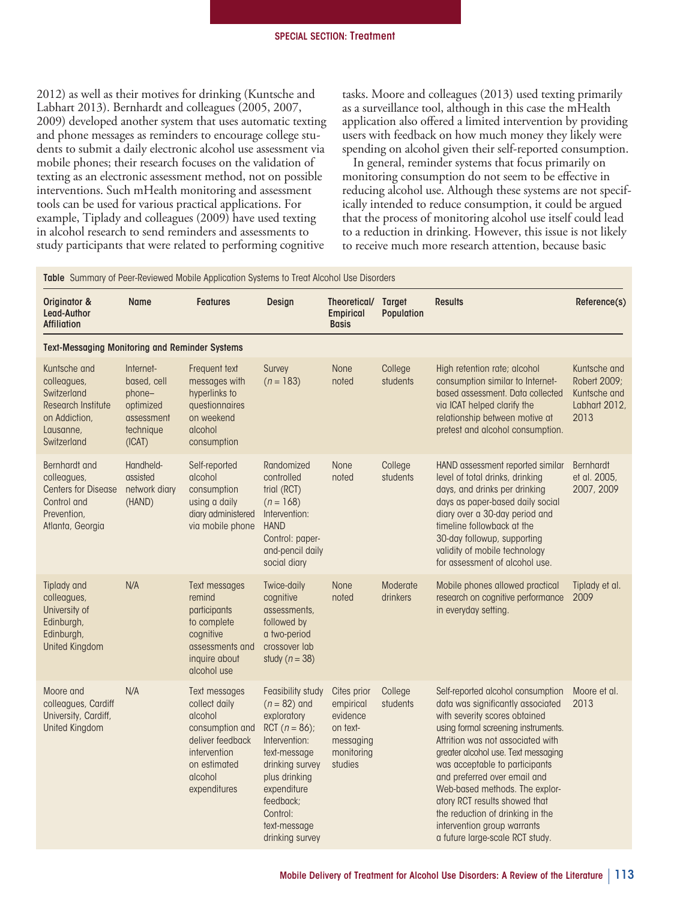2012) as well as their motives for drinking (Kuntsche and Labhart 2013). Bernhardt and colleagues (2005, 2007, 2009) developed another system that uses automatic texting and phone messages as reminders to encourage college stu- dents to submit a daily electronic alcohol use assessment via mobile phones; their research focuses on the validation of texting as an electronic assessment method, not on possible interventions. Such mHealth monitoring and assessment tools can be used for various practical applications. For example, Tiplady and colleagues (2009) have used texting in alcohol research to send reminders and assessments to study participants that were related to performing cognitive

 tasks. Moore and colleagues (2013) used texting primarily as a surveillance tool, although in this case the mHealth application also offered a limited intervention by providing users with feedback on how much money they likely were spending on alcohol given their self-reported consumption.

 In general, reminder systems that focus primarily on monitoring consumption do not seem to be effective in reducing alcohol use. Although these systems are not specif- ically intended to reduce consumption, it could be argued that the process of monitoring alcohol use itself could lead to a reduction in drinking. However, this issue is not likely to receive much more research attention, because basic

Ta ble Summary of Peer-Reviewed Mobile Application Systems to Treat Alcohol Use Disorders

| Originator &<br>Lead-Author<br><b>Affiliation</b>                                                                    | <b>Name</b>                                                                          | <b>Features</b>                                                                                                                             | Design                                                                                                                                                                                                                 | Theoretical/<br><b>Empirical</b><br><b>Basis</b>                                       | <b>Target</b><br>Population | <b>Results</b>                                                                                                                                                                                                                                                                                                                                                                                                                                                        | Reference(s)                                                          |
|----------------------------------------------------------------------------------------------------------------------|--------------------------------------------------------------------------------------|---------------------------------------------------------------------------------------------------------------------------------------------|------------------------------------------------------------------------------------------------------------------------------------------------------------------------------------------------------------------------|----------------------------------------------------------------------------------------|-----------------------------|-----------------------------------------------------------------------------------------------------------------------------------------------------------------------------------------------------------------------------------------------------------------------------------------------------------------------------------------------------------------------------------------------------------------------------------------------------------------------|-----------------------------------------------------------------------|
| <b>Text-Messaging Monitoring and Reminder Systems</b>                                                                |                                                                                      |                                                                                                                                             |                                                                                                                                                                                                                        |                                                                                        |                             |                                                                                                                                                                                                                                                                                                                                                                                                                                                                       |                                                                       |
| Kuntsche and<br>colleagues,<br>Switzerland<br><b>Research Institute</b><br>on Addiction,<br>Lausanne,<br>Switzerland | Internet-<br>based, cell<br>phone-<br>optimized<br>assessment<br>technique<br>(ICAT) | Frequent text<br>messages with<br>hyperlinks to<br>questionnaires<br>on weekend<br>alcohol<br>consumption                                   | Survey<br>$(n = 183)$                                                                                                                                                                                                  | None<br>noted                                                                          | College<br>students         | High retention rate; alcohol<br>consumption similar to Internet-<br>based assessment. Data collected<br>via ICAT helped clarify the<br>relationship between motive at<br>pretest and alcohol consumption.                                                                                                                                                                                                                                                             | Kuntsche and<br>Robert 2009:<br>Kuntsche and<br>Labhart 2012,<br>2013 |
| Bernhardt and<br>colleagues,<br><b>Centers for Disease</b><br>Control and<br>Prevention,<br>Atlanta, Georgia         | Handheld-<br>assisted<br>network diary<br>(HAND)                                     | Self-reported<br>alcohol<br>consumption<br>using a daily<br>diary administered<br>via mobile phone                                          | Randomized<br>controlled<br>trial (RCT)<br>$(n = 168)$<br>Intervention:<br><b>HAND</b><br>Control: paper-<br>and-pencil daily<br>social diary                                                                          | <b>None</b><br>noted                                                                   | College<br>students         | HAND assessment reported similar<br>level of total drinks, drinking<br>days, and drinks per drinking<br>days as paper-based daily social<br>diary over a 30-day period and<br>timeline followback at the<br>30-day followup, supporting<br>validity of mobile technology<br>for assessment of alcohol use.                                                                                                                                                            | Bernhardt<br>et al. 2005,<br>2007, 2009                               |
| Tiplady and<br>colleagues,<br>University of<br>Edinburgh,<br>Edinburgh,<br><b>United Kingdom</b>                     | N/A                                                                                  | Text messages<br>remind<br>participants<br>to complete<br>cognitive<br>assessments and<br>inquire about<br>alcohol use                      | Twice-daily<br>cognitive<br>assessments,<br>followed by<br>a two-period<br>crossover lab<br>study ( $n = 38$ )                                                                                                         | <b>None</b><br>noted                                                                   | Moderate<br>drinkers        | Mobile phones allowed practical<br>research on cognitive performance<br>in everyday setting.                                                                                                                                                                                                                                                                                                                                                                          | Tiplady et al.<br>2009                                                |
| Moore and<br>colleagues, Cardiff<br>University, Cardiff,<br><b>United Kingdom</b>                                    | N/A                                                                                  | Text messages<br>collect daily<br>alcohol<br>consumption and<br>deliver feedback<br>intervention<br>on estimated<br>alcohol<br>expenditures | Feasibility study<br>$(n = 82)$ and<br>exploratory<br>RCT $(n = 86)$ ;<br>Intervention:<br>text-message<br>drinking survey<br>plus drinking<br>expenditure<br>feedback:<br>Control:<br>text-message<br>drinking survey | Cites prior<br>empirical<br>evidence<br>on text-<br>messaging<br>monitoring<br>studies | College<br>students         | Self-reported alcohol consumption<br>data was significantly associated<br>with severity scores obtained<br>using formal screening instruments.<br>Attrition was not associated with<br>greater alcohol use. Text messaging<br>was acceptable to participants<br>and preferred over email and<br>Web-based methods. The explor-<br>atory RCT results showed that<br>the reduction of drinking in the<br>intervention group warrants<br>a future large-scale RCT study. | Moore et al.<br>2013                                                  |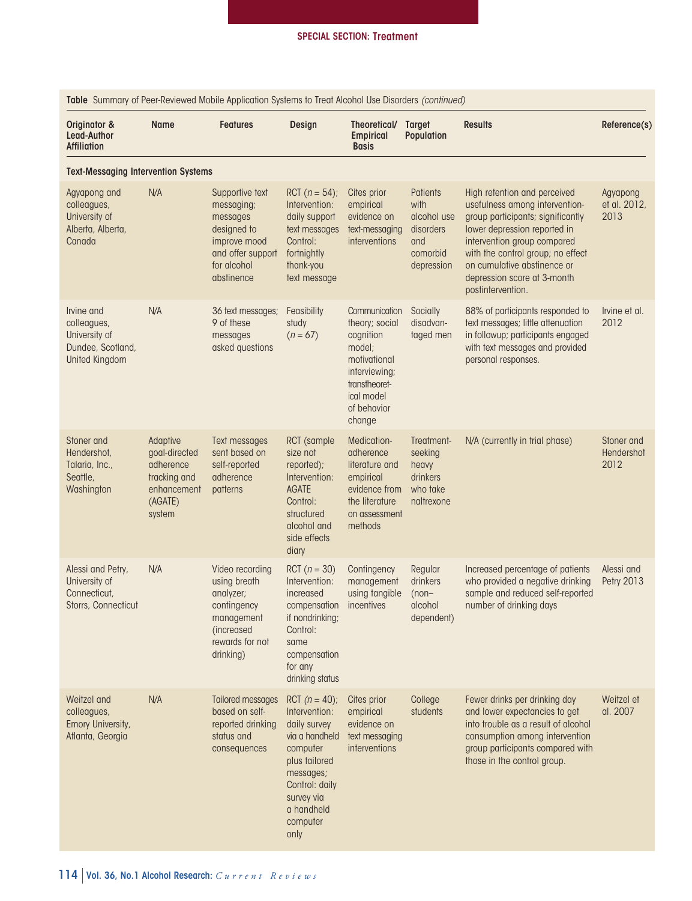| Table Summary of Peer-Reviewed Mobile Application Systems to Treat Alcohol Use Disorders (continued) |                                                                                            |                                                                                                                            |                                                                                                                                                                                 |                                                                                                                                                 |                                                                               |                                                                                                                                                                                                                                                                                            |                                  |  |  |
|------------------------------------------------------------------------------------------------------|--------------------------------------------------------------------------------------------|----------------------------------------------------------------------------------------------------------------------------|---------------------------------------------------------------------------------------------------------------------------------------------------------------------------------|-------------------------------------------------------------------------------------------------------------------------------------------------|-------------------------------------------------------------------------------|--------------------------------------------------------------------------------------------------------------------------------------------------------------------------------------------------------------------------------------------------------------------------------------------|----------------------------------|--|--|
| Originator &<br>Lead-Author<br><b>Affiliation</b>                                                    | <b>Name</b>                                                                                | <b>Features</b>                                                                                                            | Design                                                                                                                                                                          | Theoretical/ Target<br><b>Empirical</b><br><b>Basis</b>                                                                                         | <b>Population</b>                                                             | <b>Results</b>                                                                                                                                                                                                                                                                             | Reference(s)                     |  |  |
| <b>Text-Messaging Intervention Systems</b>                                                           |                                                                                            |                                                                                                                            |                                                                                                                                                                                 |                                                                                                                                                 |                                                                               |                                                                                                                                                                                                                                                                                            |                                  |  |  |
| Agyapong and<br>colleagues,<br>University of<br>Alberta, Alberta,<br>Canada                          | N/A                                                                                        | Supportive text<br>messaging;<br>messages<br>designed to<br>improve mood<br>and offer support<br>for alcohol<br>abstinence | RCT $(n = 54)$ ;<br>Intervention:<br>daily support<br>text messages<br>Control:<br>fortnightly<br>thank-you<br>text message                                                     | Cites prior<br>empirical<br>evidence on<br>text-messaging<br>interventions                                                                      | Patients<br>with<br>alcohol use<br>disorders<br>and<br>comorbid<br>depression | High retention and perceived<br>usefulness among intervention-<br>group participants; significantly<br>lower depression reported in<br>intervention group compared<br>with the control group; no effect<br>on cumulative abstinence or<br>depression score at 3-month<br>postintervention. | Agyapong<br>et al. 2012,<br>2013 |  |  |
| Irvine and<br>colleagues,<br>University of<br>Dundee, Scotland,<br><b>United Kingdom</b>             | N/A                                                                                        | 36 text messages;<br>9 of these<br>messages<br>asked questions                                                             | Feasibility<br>study<br>$(n = 67)$                                                                                                                                              | Communication<br>theory; social<br>cognition<br>model;<br>motivational<br>interviewing;<br>transtheoret-<br>ical model<br>of behavior<br>change | Socially<br>disadvan-<br>taged men                                            | 88% of participants responded to<br>text messages; little attenuation<br>in followup; participants engaged<br>with text messages and provided<br>personal responses.                                                                                                                       | Irvine et al.<br>2012            |  |  |
| Stoner and<br>Hendershot,<br>Talaria, Inc.,<br>Seattle,<br>Washington                                | Adaptive<br>goal-directed<br>adherence<br>tracking and<br>enhancement<br>(AGATE)<br>system | Text messages<br>sent based on<br>self-reported<br>adherence<br>patterns                                                   | RCT (sample)<br>size not<br>reported);<br>Intervention:<br><b>AGATE</b><br>Control:<br>structured<br>alcohol and<br>side effects<br>diary                                       | Medication-<br>adherence<br>literature and<br>empirical<br>evidence from<br>the literature<br>on assessment<br>methods                          | Treatment-<br>seeking<br>heavy<br>drinkers<br>who take<br>naltrexone          | N/A (currently in trial phase)                                                                                                                                                                                                                                                             | Stoner and<br>Hendershot<br>2012 |  |  |
| Alessi and Petry,<br>University of<br>Connecticut,<br>Storrs, Connecticut                            | N/A                                                                                        | Video recording<br>using breath<br>analyzer;<br>contingency<br>management<br>(increased<br>rewards for not<br>drinking)    | RCT $(n = 30)$<br>Intervention:<br>increased<br>compensation<br>if nondrinking;<br>Control:<br>same<br>compensation<br>for any<br>drinking status                               | Contingency<br>management<br>using tangible<br>incentives                                                                                       | Regular<br>drinkers<br>$(non-$<br>alcohol<br>dependent)                       | Increased percentage of patients<br>who provided a negative drinking<br>sample and reduced self-reported<br>number of drinking days                                                                                                                                                        | Alessi and<br>Petry 2013         |  |  |
| Weitzel and<br>colleagues,<br>Emory University,<br>Atlanta, Georgia                                  | N/A                                                                                        | <b>Tailored messages</b><br>based on self-<br>reported drinking<br>status and<br>consequences                              | RCT $(n = 40)$ ;<br>Intervention:<br>daily survey<br>via a handheld<br>computer<br>plus tailored<br>messages;<br>Control: daily<br>survey via<br>a handheld<br>computer<br>only | Cites prior<br>empirical<br>evidence on<br>text messaging<br>interventions                                                                      | College<br>students                                                           | Fewer drinks per drinking day<br>and lower expectancies to get<br>into trouble as a result of alcohol<br>consumption among intervention<br>group participants compared with<br>those in the control group.                                                                                 | Weitzel et<br>al. 2007           |  |  |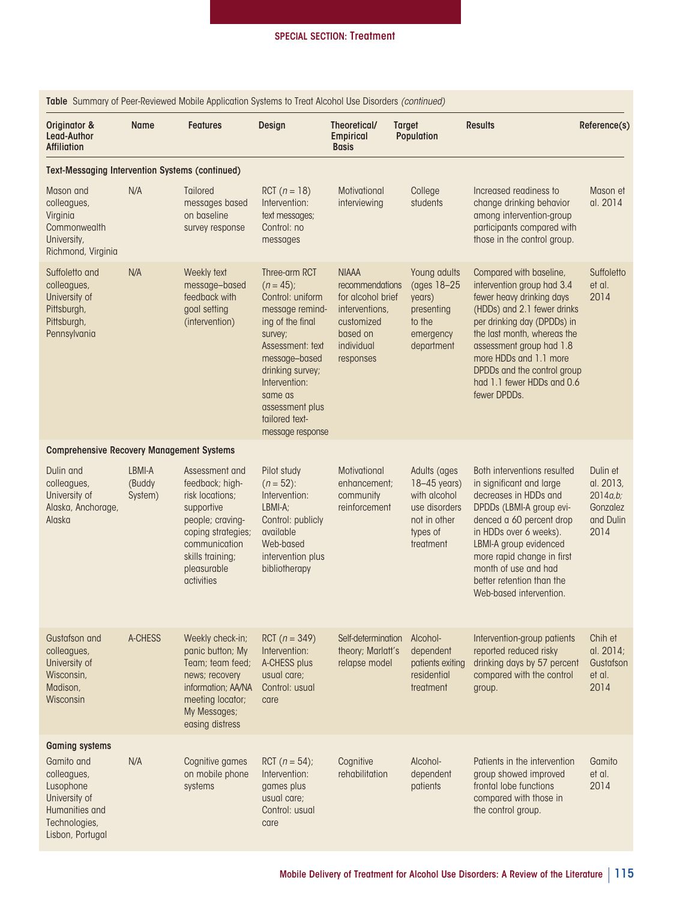| <b>TODIE</b> SUITIITION OF FEED-REVIEWED MODIE APPIICUTION SYSTEMS TO THE RICOHOL USE DISORDERS (COMMITDED)                             |                             |                                                                                                                                                                                |                                                                                                                                                                                                                                                  |                                                                                                                             |                                                                                                          |                                                                                                                                                                                                                                                                                                                    |                                                                    |  |
|-----------------------------------------------------------------------------------------------------------------------------------------|-----------------------------|--------------------------------------------------------------------------------------------------------------------------------------------------------------------------------|--------------------------------------------------------------------------------------------------------------------------------------------------------------------------------------------------------------------------------------------------|-----------------------------------------------------------------------------------------------------------------------------|----------------------------------------------------------------------------------------------------------|--------------------------------------------------------------------------------------------------------------------------------------------------------------------------------------------------------------------------------------------------------------------------------------------------------------------|--------------------------------------------------------------------|--|
| Originator &<br>Lead-Author<br><b>Affiliation</b>                                                                                       | <b>Name</b>                 | <b>Features</b>                                                                                                                                                                | Design                                                                                                                                                                                                                                           | Theoretical/<br><b>Empirical</b><br><b>Basis</b>                                                                            | <b>Target</b><br><b>Population</b>                                                                       | <b>Results</b>                                                                                                                                                                                                                                                                                                     | Reference(s)                                                       |  |
| <b>Text-Messaging Intervention Systems (continued)</b>                                                                                  |                             |                                                                                                                                                                                |                                                                                                                                                                                                                                                  |                                                                                                                             |                                                                                                          |                                                                                                                                                                                                                                                                                                                    |                                                                    |  |
| Mason and<br>colleagues,<br>Virginia<br>Commonwealth<br>University,<br>Richmond, Virginia                                               | N/A                         | <b>Tailored</b><br>messages based<br>on baseline<br>survey response                                                                                                            | RCT $(n = 18)$<br>Intervention:<br>text messages;<br>Control: no<br>messages                                                                                                                                                                     | Motivational<br>interviewing                                                                                                | College<br>students                                                                                      | Increased readiness to<br>change drinking behavior<br>among intervention-group<br>participants compared with<br>those in the control group.                                                                                                                                                                        | Mason et<br>al. 2014                                               |  |
| Suffoletto and<br>colleagues,<br>University of<br>Pittsburgh,<br>Pittsburgh,<br>Pennsylvania                                            | N/A                         | Weekly text<br>message-based<br>feedback with<br>goal setting<br>(intervention)                                                                                                | Three-arm RCT<br>$(n = 45);$<br>Control: uniform<br>message remind-<br>ing of the final<br>survey;<br>Assessment: text<br>message-based<br>drinking survey;<br>Intervention:<br>same as<br>assessment plus<br>tailored text-<br>message response | <b>NIAAA</b><br>recommendations<br>for alcohol brief<br>interventions,<br>customized<br>based on<br>individual<br>responses | Young adults<br>(ages 18-25)<br>years)<br>presenting<br>to the<br>emergency<br>department                | Compared with baseline,<br>intervention group had 3.4<br>fewer heavy drinking days<br>(HDDs) and 2.1 fewer drinks<br>per drinking day (DPDDs) in<br>the last month, whereas the<br>assessment group had 1.8<br>more HDDs and 1.1 more<br>DPDDs and the control group<br>had 1.1 fewer HDDs and 0.6<br>fewer DPDDs. | Suffoletto<br>et al.<br>2014                                       |  |
| <b>Comprehensive Recovery Management Systems</b>                                                                                        |                             |                                                                                                                                                                                |                                                                                                                                                                                                                                                  |                                                                                                                             |                                                                                                          |                                                                                                                                                                                                                                                                                                                    |                                                                    |  |
| Dulin and<br>colleagues,<br>University of<br>Alaska, Anchorage,<br>Alaska                                                               | LBMI-A<br>(Buddy<br>System) | Assessment and<br>feedback; high-<br>risk locations;<br>supportive<br>people; craving-<br>coping strategies;<br>communication<br>skills training;<br>pleasurable<br>activities | Pilot study<br>$(n = 52)$ :<br>Intervention:<br>LBMI-A;<br>Control: publicly<br>available<br>Web-based<br>intervention plus<br>bibliotherapy                                                                                                     | Motivational<br>enhancement;<br>community<br>reinforcement                                                                  | Adults (ages<br>$18-45$ years)<br>with alcohol<br>use disorders<br>not in other<br>types of<br>treatment | Both interventions resulted<br>in significant and large<br>decreases in HDDs and<br>DPDDs (LBMI-A group evi-<br>denced a 60 percent drop<br>in HDDs over 6 weeks).<br>LBMI-A group evidenced<br>more rapid change in first<br>month of use and had<br>better retention than the<br>Web-based intervention.         | Dulin et<br>al. 2013,<br>2014a,b;<br>Gonzalez<br>and Dulin<br>2014 |  |
| Gustafson and<br>colleagues,<br>University of<br>Wisconsin,<br>Madison,<br>Wisconsin                                                    | A-CHESS                     | Weekly check-in;<br>panic button; My<br>Team; team feed;<br>news; recovery<br>information; AA/NA<br>meeting locator;<br>My Messages;<br>easing distress                        | RCT $(n = 349)$<br>Intervention:<br>A-CHESS plus<br>usual care;<br>Control: usual<br>care                                                                                                                                                        | Self-determination Alcohol-<br>relapse model                                                                                | theory; Marlatt's dependent<br>patients exiting<br>residential<br>treatment                              | Intervention-group patients<br>reported reduced risky<br>drinking days by 57 percent<br>compared with the control<br>group.                                                                                                                                                                                        | Chih et<br>al. 2014;<br>Gustafson<br>et al.<br>2014                |  |
| <b>Gaming systems</b><br>Gamito and<br>colleagues,<br>Lusophone<br>University of<br>Humanities and<br>Technologies,<br>Lisbon, Portugal | N/A                         | Cognitive games<br>on mobile phone<br>systems                                                                                                                                  | RCT $(n = 54)$ ;<br>Intervention:<br>games plus<br>usual care;<br>Control: usual<br>care                                                                                                                                                         | Cognitive<br>rehabilitation                                                                                                 | Alcohol-<br>dependent<br>patients                                                                        | Patients in the intervention<br>group showed improved<br>frontal lobe functions<br>compared with those in<br>the control group.                                                                                                                                                                                    | Gamito<br>et al.<br>2014                                           |  |

Table Summary of Peer-Reviewed Mobile Application Systems to Treat Alcohol Use Disorders *(continued)*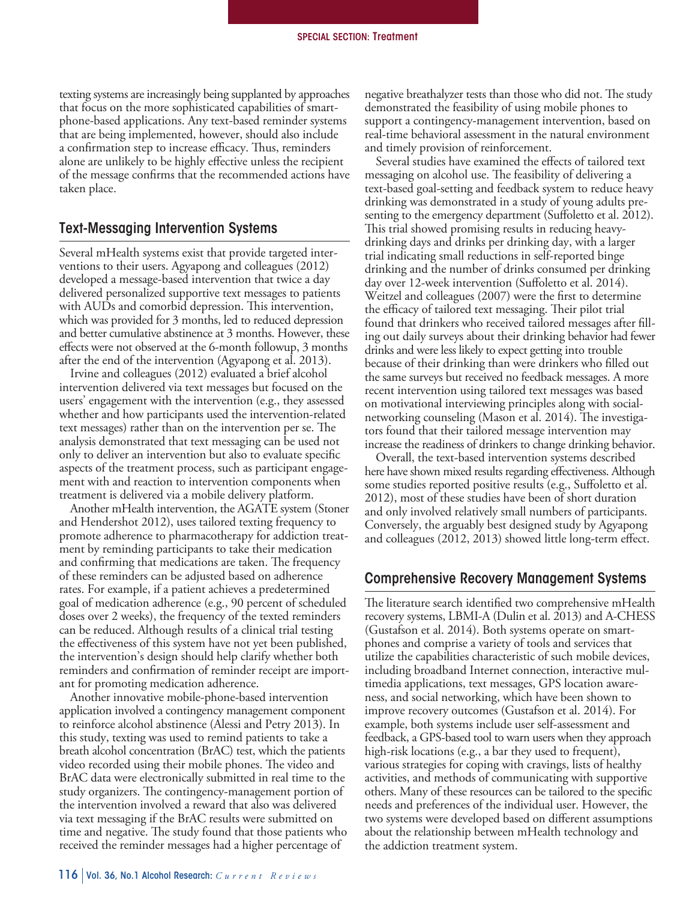texting systems are increasingly being supplanted by approaches that focus on the more sophisticated capabilities of smart- phone-based applications. Any text-based reminder systems that are being implemented, however, should also include a confirmation step to increase efficacy. Thus, reminders alone are unlikely to be highly effective unless the recipient of the message confirms that the recommended actions have taken place.

#### Text-Messaging Intervention Systems

 Several mHealth systems exist that provide targeted inter- ventions to their users. Agyapong and colleagues (2012) developed a message-based intervention that twice a day delivered personalized supportive text messages to patients with AUDs and comorbid depression. This intervention, which was provided for 3 months, led to reduced depression and better cumulative abstinence at 3 months. However, these effects were not observed at the 6-month followup, 3 months after the end of the intervention (Agyapong et al. 2013).

 Irvine and colleagues (2012) evaluated a brief alcohol intervention delivered via text messages but focused on the users' engagement with the intervention (e.g., they assessed whether and how participants used the intervention-related text messages) rather than on the intervention per se. The analysis demonstrated that text messaging can be used not only to deliver an intervention but also to evaluate specific aspects of the treatment process, such as participant engage- ment with and reaction to intervention components when treatment is delivered via a mobile delivery platform.

 Another mHealth intervention, the AGATE system (Stoner and Hendershot 2012), uses tailored texting frequency to promote adherence to pharmacotherapy for addiction treat- ment by reminding participants to take their medication and confirming that medications are taken. The frequency of these reminders can be adjusted based on adherence rates. For example, if a patient achieves a predetermined goal of medication adherence (e.g., 90 percent of scheduled doses over 2 weeks), the frequency of the texted reminders can be reduced. Although results of a clinical trial testing the effectiveness of this system have not yet been published, the intervention's design should help clarify whether both reminders and confirmation of reminder receipt are import-ant for promoting medication adherence.

 Another innovative mobile-phone-based intervention application involved a contingency management component to reinforce alcohol abstinence (Alessi and Petry 2013). In this study, texting was used to remind patients to take a breath alcohol concentration (BrAC) test, which the patients video recorded using their mobile phones. The video and BrAC data were electronically submitted in real time to the study organizers. The contingency-management portion of the intervention involved a reward that also was delivered via text messaging if the BrAC results were submitted on time and negative. The study found that those patients who received the reminder messages had a higher percentage of

 negative breathalyzer tests than those who did not. The study demonstrated the feasibility of using mobile phones to support a contingency-management intervention, based on real-time behavioral assessment in the natural environment and timely provision of reinforcement.

 Several studies have examined the effects of tailored text messaging on alcohol use. The feasibility of delivering a text-based goal-setting and feedback system to reduce heavy drinking was demonstrated in a study of young adults pre- senting to the emergency department (Suffoletto et al. 2012). This trial showed promising results in reducing heavy- drinking days and drinks per drinking day, with a larger trial indicating small reductions in self-reported binge drinking and the number of drinks consumed per drinking day over 12-week intervention (Suffoletto et al. 2014). Weitzel and colleagues (2007) were the first to determine the efficacy of tailored text messaging. Their pilot trial found that drinkers who received tailored messages after fill- ing out daily surveys about their drinking behavior had fewer drinks and were less likely to expect getting into trouble because of their drinking than were drinkers who filled out the same surveys but received no feedback messages. A more recent intervention using tailored text messages was based on motivational interviewing principles along with social- networking counseling (Mason et al. 2014). The investiga- tors found that their tailored message intervention may increase the readiness of drinkers to change drinking behavior.

 Overall, the text-based intervention systems described here have shown mixed results regarding effectiveness. Although some studies reported positive results (e.g., Suffoletto et al. 2012), most of these studies have been of short duration and only involved relatively small numbers of participants. Conversely, the arguably best designed study by Agyapong and colleagues (2012, 2013) showed little long-term effect.

#### Comprehensive Recovery Management Systems

 (Gustafson et al. 2014). Both systems operate on smart- phones and comprise a variety of tools and services that utilize the capabilities characteristic of such mobile devices, including broadband Internet connection, interactive mul- timedia applications, text messages, GPS location aware- ness, and social networking, which have been shown to improve recovery outcomes (Gustafson et al. 2014). For example, both systems include user self-assessment and feedback, a GPS-based tool to warn users when they approach high-risk locations (e.g., a bar they used to frequent), various strategies for coping with cravings, lists of healthy activities, and methods of communicating with supportive others. Many of these resources can be tailored to the specific needs and preferences of the individual user. However, the two systems were developed based on different assumptions about the relationship between mHealth technology and the addiction treatment system. The literature search identified two comprehensive mHealth recovery systems, LBMI-A (Dulin et al. 2013) and A-CHESS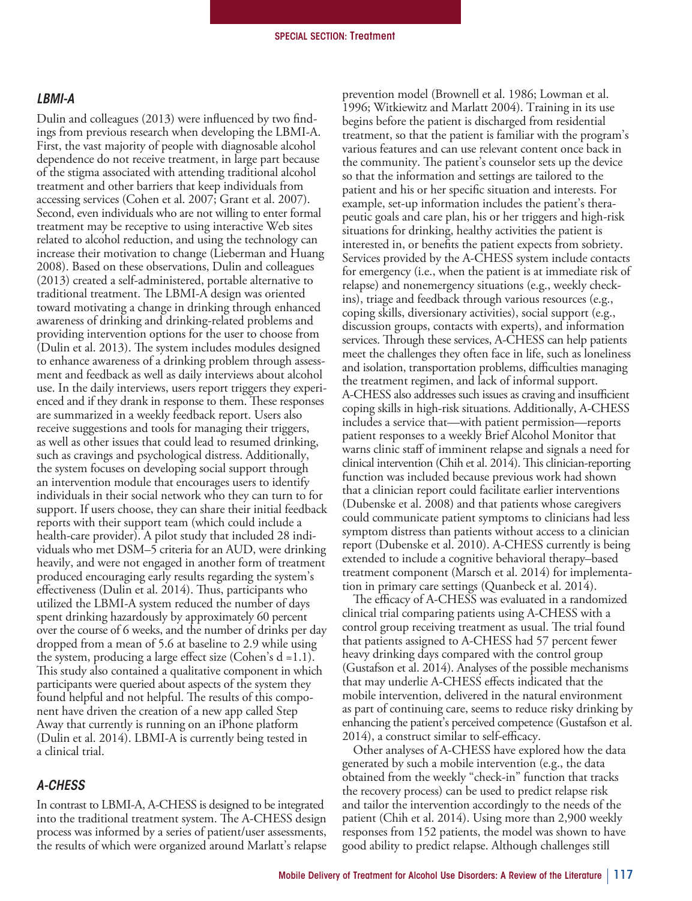#### *LBMI-A*

 Dulin and colleagues (2013) were influenced by two find- ings from previous research when developing the LBMI-A. First, the vast majority of people with diagnosable alcohol dependence do not receive treatment, in large part because of the stigma associated with attending traditional alcohol treatment and other barriers that keep individuals from accessing services (Cohen et al. 2007; Grant et al. 2007). Second, even individuals who are not willing to enter formal treatment may be receptive to using interactive Web sites related to alcohol reduction, and using the technology can increase their motivation to change (Lieberman and Huang 2008). Based on these observations, Dulin and colleagues (2013) created a self-administered, portable alternative to traditional treatment. The LBMI-A design was oriented toward motivating a change in drinking through enhanced awareness of drinking and drinking-related problems and providing intervention options for the user to choose from (Dulin et al. 2013). The system includes modules designed to enhance awareness of a drinking problem through assess- ment and feedback as well as daily interviews about alcohol use. In the daily interviews, users report triggers they experi- enced and if they drank in response to them. These responses are summarized in a weekly feedback report. Users also receive suggestions and tools for managing their triggers, as well as other issues that could lead to resumed drinking, such as cravings and psychological distress. Additionally, the system focuses on developing social support through an intervention module that encourages users to identify individuals in their social network who they can turn to for reports with their support team (which could include a health-care provider). A pilot study that included 28 indi- viduals who met DSM–5 criteria for an AUD, were drinking heavily, and were not engaged in another form of treatment produced encouraging early results regarding the system's effectiveness (Dulin et al. 2014). Thus, participants who utilized the LBMI-A system reduced the number of days spent drinking hazardously by approximately 60 percent over the course of 6 weeks, and the number of drinks per day dropped from a mean of 5.6 at baseline to 2.9 while using the system, producing a large effect size (Cohen's d =1.1). This study also contained a qualitative component in which participants were queried about aspects of the system they found helpful and not helpful. The results of this compo- nent have driven the creation of a new app called Step Away that currently is running on an iPhone platform (Dulin et al. 2014). LBMI-A is currently being tested in a clinical trial. support. If users choose, they can share their initial feedback

#### *A-CHESS*

 In contrast to LBMI-A, A-CHESS is designed to be integrated into the traditional treatment system. The A-CHESS design process was informed by a series of patient/user assessments, the results of which were organized around Marlatt's relapse  prevention model (Brownell et al. 1986; Lowman et al. 1996; Witkiewitz and Marlatt 2004). Training in its use begins before the patient is discharged from residential treatment, so that the patient is familiar with the program's various features and can use relevant content once back in the community. The patient's counselor sets up the device so that the information and settings are tailored to the patient and his or her specific situation and interests. For example, set-up information includes the patient's thera- peutic goals and care plan, his or her triggers and high-risk situations for drinking, healthy activities the patient is interested in, or benefits the patient expects from sobriety. Services provided by the A-CHESS system include contacts for emergency (i.e., when the patient is at immediate risk of relapse) and nonemergency situations (e.g., weekly check- ins), triage and feedback through various resources (e.g., coping skills, diversionary activities), social support (e.g., discussion groups, contacts with experts), and information services. Through these services, A-CHESS can help patients meet the challenges they often face in life, such as loneliness and isolation, transportation problems, difficulties managing the treatment regimen, and lack of informal support. A-CHESS also addresses such issues as craving and insufficient coping skills in high-risk situations. Additionally, A-CHESS includes a service that—with patient permission—reports patient responses to a weekly Brief Alcohol Monitor that warns clinic staff of imminent relapse and signals a need for clinical intervention (Chih et al. 2014). This clinician-reporting function was included because previous work had shown that a clinician report could facilitate earlier interventions (Dubenske et al. 2008) and that patients whose caregivers could communicate patient symptoms to clinicians had less symptom distress than patients without access to a clinician report (Dubenske et al. 2010). A-CHESS currently is being extended to include a cognitive behavioral therapy–based treatment component (Marsch et al. 2014) for implementa-tion in primary care settings (Quanbeck et al. 2014).

 The efficacy of A-CHESS was evaluated in a randomized clinical trial comparing patients using A-CHESS with a control group receiving treatment as usual. The trial found that patients assigned to A-CHESS had 57 percent fewer heavy drinking days compared with the control group (Gustafson et al. 2014). Analyses of the possible mechanisms that may underlie A-CHESS effects indicated that the mobile intervention, delivered in the natural environment enhancing the patient's perceived competence (Gustafson et al. 2014), a construct similar to self-efficacy. as part of continuing care, seems to reduce risky drinking by

 Other analyses of A-CHESS have explored how the data generated by such a mobile intervention (e.g., the data obtained from the weekly "check-in" function that tracks the recovery process) can be used to predict relapse risk and tailor the intervention accordingly to the needs of the patient (Chih et al. 2014). Using more than 2,900 weekly responses from 152 patients, the model was shown to have good ability to predict relapse. Although challenges still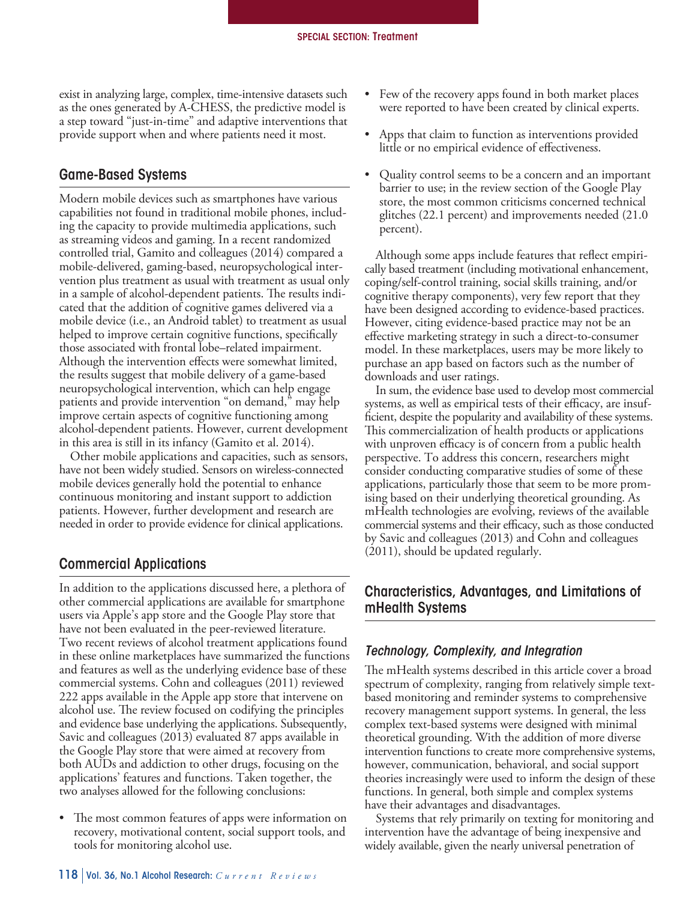exist in analyzing large, complex, time-intensive datasets such as the ones generated by A-CHESS, the predictive model is a step toward "just-in-time" and adaptive interventions that provide support when and where patients need it most.

#### Game-Based Systems

 Modern mobile devices such as smartphones have various capabilities not found in traditional mobile phones, includ- ing the capacity to provide multimedia applications, such as streaming videos and gaming. In a recent randomized controlled trial, Gamito and colleagues (2014) compared a vention plus treatment as usual with treatment as usual only in a sample of alcohol-dependent patients. The results indi- cated that the addition of cognitive games delivered via a mobile device (i.e., an Android tablet) to treatment as usual helped to improve certain cognitive functions, specifically those associated with frontal lobe–related impairment. Although the intervention effects were somewhat limited, the results suggest that mobile delivery of a game-based neuropsychological intervention, which can help engage patients and provide intervention "on demand," may help improve certain aspects of cognitive functioning among alcohol-dependent patients. However, current development in this area is still in its infancy (Gamito et al. 2014). mobile-delivered, gaming-based, neuropsychological inter-

 Other mobile applications and capacities, such as sensors, have not been widely studied. Sensors on wireless-connected mobile devices generally hold the potential to enhance continuous monitoring and instant support to addiction patients. However, further development and research are needed in order to provide evidence for clinical applications.

# Commercial Applications

 In addition to the applications discussed here, a plethora of other commercial applications are available for smartphone users via Apple's app store and the Google Play store that have not been evaluated in the peer-reviewed literature. Two recent reviews of alcohol treatment applications found in these online marketplaces have summarized the functions and features as well as the underlying evidence base of these commercial systems. Cohn and colleagues (2011) reviewed 222 apps available in the Apple app store that intervene on alcohol use. The review focused on codifying the principles and evidence base underlying the applications. Subsequently, Savic and colleagues (2013) evaluated 87 apps available in the Google Play store that were aimed at recovery from both AUDs and addiction to other drugs, focusing on the applications' features and functions. Taken together, the two analyses allowed for the following conclusions:

 • The most common features of apps were information on recovery, motivational content, social support tools, and tools for monitoring alcohol use.

- were reported to have been created by clinical experts. Few of the recovery apps found in both market places
- $\bullet$  little or no empirical evidence of effectiveness. Apps that claim to function as interventions provided
- $\bullet$  barrier to use; in the review section of the Google Play store, the most common criticisms concerned technical glitches (22.1 percent) and improvements needed (21.0 • Quality control seems to be a concern and an important percent).

 Although some apps include features that reflect empiri- cally based treatment (including motivational enhancement, coping/self-control training, social skills training, and/or cognitive therapy components), very few report that they have been designed according to evidence-based practices. However, citing evidence-based practice may not be an effective marketing strategy in such a direct-to-consumer model. In these marketplaces, users may be more likely to purchase an app based on factors such as the number of downloads and user ratings.

 In sum, the evidence base used to develop most commercial systems, as well as empirical tests of their efficacy, are insuf- ficient, despite the popularity and availability of these systems. This commercialization of health products or applications with unproven efficacy is of concern from a public health perspective. To address this concern, researchers might consider conducting comparative studies of some of these applications, particularly those that seem to be more prom- ising based on their underlying theoretical grounding. As mHealth technologies are evolving, reviews of the available commercial systems and their efficacy, such as those conducted by Savic and colleagues (2013) and Cohn and colleagues (2011), should be updated regularly.

# Characteristics, Advantages, and Limitations of mHealth Systems

#### *Technology, Complexity, and Integration*

 The mHealth systems described in this article cover a broad spectrum of complexity, ranging from relatively simple text- based monitoring and reminder systems to comprehensive recovery management support systems. In general, the less complex text-based systems were designed with minimal theoretical grounding. With the addition of more diverse however, communication, behavioral, and social support theories increasingly were used to inform the design of these functions. In general, both simple and complex systems have their advantages and disadvantages. intervention functions to create more comprehensive systems,

 Systems that rely primarily on texting for monitoring and intervention have the advantage of being inexpensive and widely available, given the nearly universal penetration of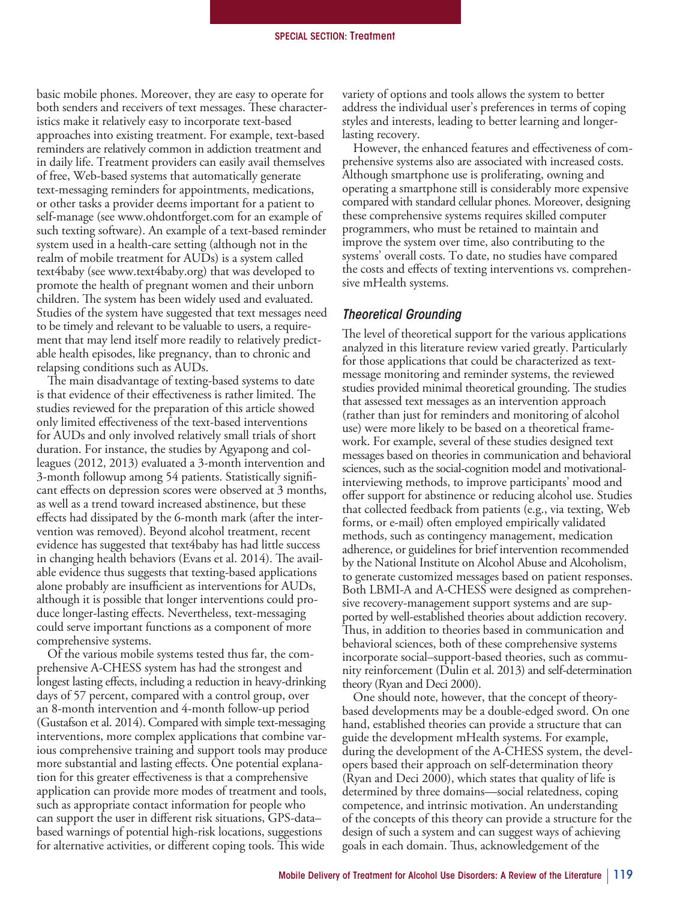basic mobile phones. Moreover, they are easy to operate for both senders and receivers of text messages. These character- istics make it relatively easy to incorporate text-based approaches into existing treatment. For example, text-based reminders are relatively common in addiction treatment and in daily life. Treatment providers can easily avail themselves of free, Web-based systems that automatically generate text-messaging reminders for appointments, medications, or other tasks a provider deems important for a patient to self-manage (see www.ohdontforget.com for an example of such texting software). An example of a text-based reminder system used in a health-care setting (although not in the realm of mobile treatment for AUDs) is a system called text4baby (see www.text4baby.org) that was developed to promote the health of pregnant women and their unborn children. The system has been widely used and evaluated. to be timely and relevant to be valuable to users, a require- ment that may lend itself more readily to relatively predict- able health episodes, like pregnancy, than to chronic and relapsing conditions such as AUDs. Studies of the system have suggested that text messages need

 The main disadvantage of texting-based systems to date is that evidence of their effectiveness is rather limited. The studies reviewed for the preparation of this article showed only limited effectiveness of the text-based interventions for AUDs and only involved relatively small trials of short duration. For instance, the studies by Agyapong and col- leagues (2012, 2013) evaluated a 3-month intervention and 3-month followup among 54 patients. Statistically signifi- cant effects on depression scores were observed at 3 months, as well as a trend toward increased abstinence, but these effects had dissipated by the 6-month mark (after the inter- vention was removed). Beyond alcohol treatment, recent evidence has suggested that text4baby has had little success in changing health behaviors (Evans et al. 2014). The avail- able evidence thus suggests that texting-based applications alone probably are insufficient as interventions for AUDs, although it is possible that longer interventions could pro- duce longer-lasting effects. Nevertheless, text-messaging could serve important functions as a component of more comprehensive systems.

 Of the various mobile systems tested thus far, the com- prehensive A-CHESS system has had the strongest and longest lasting effects, including a reduction in heavy-drinking days of 57 percent, compared with a control group, over an 8-month intervention and 4-month follow-up period (Gustafson et al. 2014). Compared with simple text-messaging interventions, more complex applications that combine var- ious comprehensive training and support tools may produce more substantial and lasting effects. One potential explana- tion for this greater effectiveness is that a comprehensive application can provide more modes of treatment and tools, such as appropriate contact information for people who can support the user in different risk situations, GPS-data– based warnings of potential high-risk locations, suggestions for alternative activities, or different coping tools. This wide

 variety of options and tools allows the system to better address the individual user's preferences in terms of coping styles and interests, leading to better learning and longer-lasting recovery.

 However, the enhanced features and effectiveness of com- prehensive systems also are associated with increased costs. Although smartphone use is proliferating, owning and operating a smartphone still is considerably more expensive compared with standard cellular phones. Moreover, designing these comprehensive systems requires skilled computer programmers, who must be retained to maintain and improve the system over time, also contributing to the systems' overall costs. To date, no studies have compared the costs and effects of texting interventions vs. comprehen-sive mHealth systems.

#### *Theoretical Grounding*

 The level of theoretical support for the various applications analyzed in this literature review varied greatly. Particularly for those applications that could be characterized as text- message monitoring and reminder systems, the reviewed studies provided minimal theoretical grounding. The studies that assessed text messages as an intervention approach (rather than just for reminders and monitoring of alcohol use) were more likely to be based on a theoretical frame- work. For example, several of these studies designed text messages based on theories in communication and behavioral sciences, such as the social-cognition model and motivational- interviewing methods, to improve participants' mood and offer support for abstinence or reducing alcohol use. Studies that collected feedback from patients (e.g., via texting, Web forms, or e-mail) often employed empirically validated methods, such as contingency management, medication adherence, or guidelines for brief intervention recommended by the National Institute on Alcohol Abuse and Alcoholism, Both LBMI-A and A-CHESS were designed as comprehen- sive recovery-management support systems and are sup- ported by well-established theories about addiction recovery. Thus, in addition to theories based in communication and behavioral sciences, both of these comprehensive systems incorporate social–support-based theories, such as commu- nity reinforcement (Dulin et al. 2013) and self-determination theory (Ryan and Deci 2000). to generate customized messages based on patient responses.

 One should note, however, that the concept of theory- based developments may be a double-edged sword. On one hand, established theories can provide a structure that can guide the development mHealth systems. For example, during the development of the A-CHESS system, the devel- opers based their approach on self-determination theory (Ryan and Deci 2000), which states that quality of life is determined by three domains—social relatedness, coping competence, and intrinsic motivation. An understanding of the concepts of this theory can provide a structure for the design of such a system and can suggest ways of achieving goals in each domain. Thus, acknowledgement of the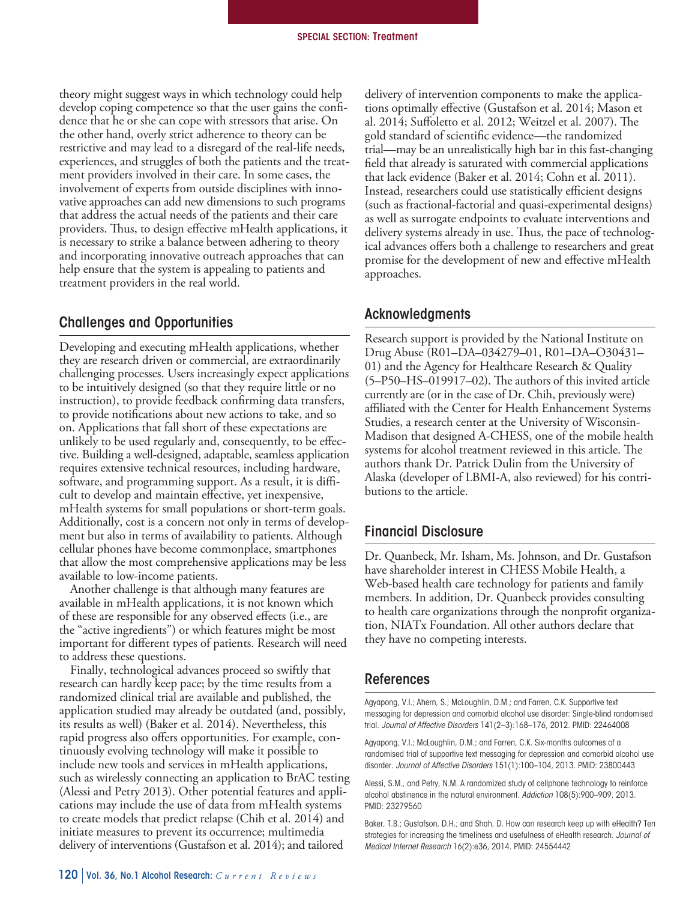theory might suggest ways in which technology could help develop coping competence so that the user gains the confi- dence that he or she can cope with stressors that arise. On the other hand, overly strict adherence to theory can be restrictive and may lead to a disregard of the real-life needs, experiences, and struggles of both the patients and the treat- ment providers involved in their care. In some cases, the involvement of experts from outside disciplines with inno- vative approaches can add new dimensions to such programs that address the actual needs of the patients and their care providers. Thus, to design effective mHealth applications, it is necessary to strike a balance between adhering to theory and incorporating innovative outreach approaches that can help ensure that the system is appealing to patients and treatment providers in the real world.

# Challenges and Opportunities

 Developing and executing mHealth applications, whether they are research driven or commercial, are extraordinarily challenging processes. Users increasingly expect applications to be intuitively designed (so that they require little or no instruction), to provide feedback confirming data transfers, to provide notifications about new actions to take, and so on. Applications that fall short of these expectations are unlikely to be used regularly and, consequently, to be effec- tive. Building a well-designed, adaptable, seamless application requires extensive technical resources, including hardware, software, and programming support. As a result, it is diffi- cult to develop and maintain effective, yet inexpensive, mHealth systems for small populations or short-term goals. Additionally, cost is a concern not only in terms of develop- ment but also in terms of availability to patients. Although cellular phones have become commonplace, smartphones that allow the most comprehensive applications may be less available to low-income patients.

 Another challenge is that although many features are available in mHealth applications, it is not known which of these are responsible for any observed effects (i.e., are the "active ingredients") or which features might be most important for different types of patients. Research will need to address these questions.

 Finally, technological advances proceed so swiftly that research can hardly keep pace; by the time results from a randomized clinical trial are available and published, the application studied may already be outdated (and, possibly, its results as well) (Baker et al. 2014). Nevertheless, this rapid progress also offers opportunities. For example, con- tinuously evolving technology will make it possible to include new tools and services in mHealth applications, (Alessi and Petry 2013). Other potential features and appli- cations may include the use of data from mHealth systems to create models that predict relapse (Chih et al. 2014) and initiate measures to prevent its occurrence; multimedia delivery of interventions (Gustafson et al. 2014); and tailored such as wirelessly connecting an application to BrAC testing

 delivery of intervention components to make the applica- tions optimally effective (Gustafson et al. 2014; Mason et al. 2014; Suffoletto et al. 2012; Weitzel et al. 2007). The gold standard of scientific evidence—the randomized trial—may be an unrealistically high bar in this fast-changing field that already is saturated with commercial applications that lack evidence (Baker et al. 2014; Cohn et al. 2011). Instead, researchers could use statistically efficient designs (such as fractional-factorial and quasi-experimental designs) as well as surrogate endpoints to evaluate interventions and delivery systems already in use. Thus, the pace of technolog- ical advances offers both a challenge to researchers and great promise for the development of new and effective mHealth approaches.

# Acknowledgments

 Research support is provided by the National Institute on Drug Abuse (R01–DA–034279–01, R01–DA–O30431– 01) and the Agency for Healthcare Research & Quality (5–P50–HS–019917–02). The authors of this invited article currently are (or in the case of Dr. Chih, previously were) affiliated with the Center for Health Enhancement Systems Studies, a research center at the University of Wisconsin- Madison that designed A-CHESS, one of the mobile health systems for alcohol treatment reviewed in this article. The authors thank Dr. Patrick Dulin from the University of Alaska (developer of LBMI-A, also reviewed) for his contri-butions to the article.

# Financial Disclosure

 Dr. Quanbeck, Mr. Isham, Ms. Johnson, and Dr. Gustafson have shareholder interest in CHESS Mobile Health, a Web-based health care technology for patients and family members. In addition, Dr. Quanbeck provides consulting to health care organizations through the nonprofit organiza- tion, NIATx Foundation. All other authors declare that they have no competing interests.

## References

Agyapong, V.I.; Ahern, S.; McLoughlin, D.M.; and Farren, C.K. Supportive text messaging for depression and comorbid alcohol use disorder: Single-blind randomised trial. *Journal of Affective Disorders* 141(2–3):168–176, 2012. PMID: 22464008

Agyapong, V.I.; McLoughlin, D.M.; and Farren, C.K. Six-months outcomes of a randomised trial of supportive text messaging for depression and comorbid alcohol use disorder. *Journal of Affective Disorders* 151(1):100–104, 2013. PMID: 23800443

Alessi, S.M., and Petry, N.M. A randomized study of cellphone technology to reinforce alcohol abstinence in the natural environment. *Addiction* 108(5):900–909, 2013. PMID: 23279560

Baker, T.B.; Gustafson, D.H.; and Shah, D. How can research keep up with eHealth? Ten strategies for increasing the timeliness and usefulness of eHealth research. *Journal of Medical Internet Research* 16(2):e36, 2014. PMID: 24554442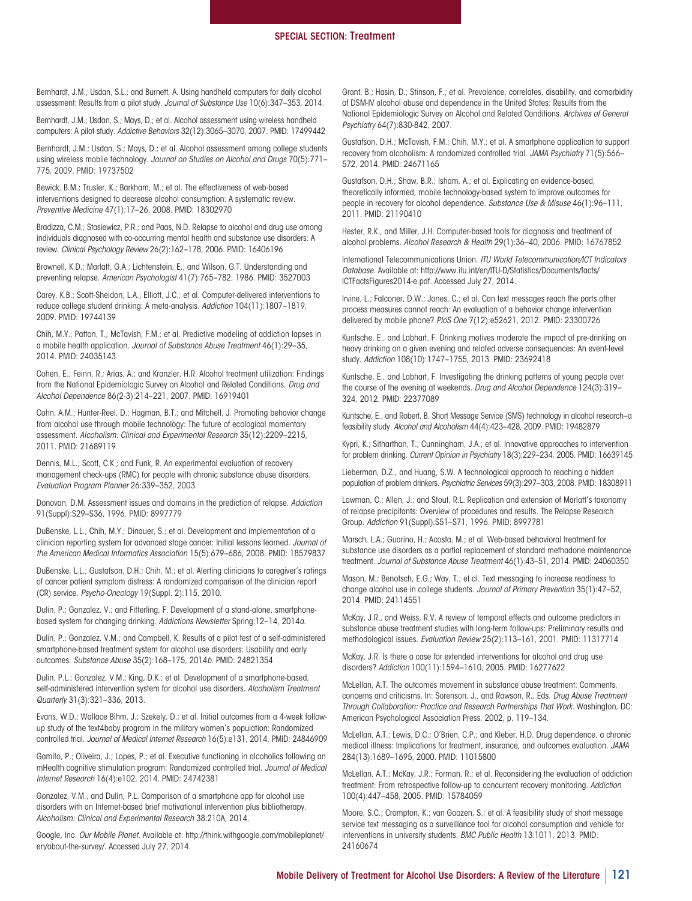Bernhardt, J.M.; Usdan, S.L.; and Burnett, A. Using handheld computers for daily alcohol assessment: Results from a pilot study. *Journal of Substance Use* 10(6):347–353, 2014.

Bernhardt, J.M.; Usdan, S.; Mays, D.; et al. Alcohol assessment using wireless handheld computers: A pilot study. *Addictive Behaviors* 32(12):3065–3070, 2007. PMID: 17499442

Bernhardt, J.M.; Usdan, S.; Mays, D.; et al. Alcohol assessment among college students using wireless mobile technology. *Journal on Studies on Alcohol and Drugs* 70(5):771– 775, 2009. PMID: 19737502

Bewick, B.M.; Trusler, K.; Barkham, M.; et al. The effectiveness of web-based interventions designed to decrease alcohol consumption: A systematic review. *Preventive Medicine* 47(1):17–26, 2008. PMID: 18302970

Bradizza, C.M.; Stasiewicz, P.R.; and Paas, N.D. Relapse to alcohol and drug use among individuals diagnosed with co-occurring mental health and substance use disorders: A review. *Clinical Psychology Review* 26(2):162–178, 2006. PMID: 16406196

Brownell, K.D.; Marlatt, G.A.; Lichtenstein, E.; and Wilson, G.T. Understanding and preventing relapse. *American Psychologist* 41(7):765–782, 1986. PMID: 3527003

Carey, K.B.; Scott-Sheldon, L.A.; Elliott, J.C.; et al. Computer-delivered interventions to reduce college student drinking: A meta-analysis. *Addiction* 104(11):1807–1819, 2009. PMID: 19744139

Chih, M.Y.; Patton, T.; McTavish, F.M.; et al. Predictive modeling of addiction lapses in a mobile health application. *Journal of Substance Abuse Treatment* 46(1):29–35, 2014. PMID: 24035143

Cohen, E.; Feinn, R.; Arias, A.; and Kranzler, H.R. Alcohol treatment utilization: Findings from the National Epidemiologic Survey on Alcohol and Related Conditions. *Drug and Alcohol Dependence* 86(2-3):214–221, 2007. PMID: 16919401

Cohn, A.M.; Hunter‐Reel, D.; Hagman, B.T.; and Mitchell, J. Promoting behavior change from alcohol use through mobile technology: The future of ecological momentary assessment. *Alcoholism: Clinical and Experimental Research* 35(12):2209–2215, 2011. PMID: 21689119

Dennis, M.L.; Scott, C.K.; and Funk, R. An experimental evaluation of recovery management check-ups (RMC) for people with chronic substance abuse disorders. *Evaluation Program Planner* 26:339–352, 2003.

Donovan, D.M. Assessment issues and domains in the prediction of relapse. *Addiction*  91(Suppl):S29–S36, 1996. PMID: 8997779

DuBenske, L.L.; Chih, M.Y.; Dinauer, S.; et al. Development and implementation of a clinician reporting system for advanced stage cancer: Initial lessons learned. *Journal of the American Medical Informatics Association* 15(5):679–686, 2008. PMID: 18579837

DuBenske, L.L.; Gustafson, D.H.; Chih, M.; et al. Alerting clinicians to caregiver's ratings of cancer patient symptom distress: A randomized comparison of the clinician report (CR) service. *Psycho-Oncology* 19(Suppl. 2):115, 2010.

Dulin, P.; Gonzalez, V.; and Fitterling, F. Development of a stand-alone, smartphonebased system for changing drinking. *Addictions Newsletter* Spring*:*12–14, 2014*a*.

Dulin, P.; Gonzalez, V.M.; and Campbell, K. Results of a pilot test of a self-administered smartphone-based treatment system for alcohol use disorders: Usability and early outcomes. *Substance Abuse* 35(2):168–175, 2014*b*. PMID: 24821354

Dulin, P.L.; Gonzalez, V.M.; King, D.K.; et al. Development of a smartphone-based, self-administered intervention system for alcohol use disorders. *Alcoholism Treatment Quarterly* 31(3):321–336, 2013.

Evans, W.D.; Wallace Bihm, J.; Szekely, D.; et al. Initial outcomes from a 4-week followup study of the text4baby program in the military women's population: Randomized controlled trial. *Journal of Medical Internet Research* 16(5):e131, 2014. PMID: 24846909

Gamito, P.; Oliveira, J.; Lopes, P.; et al. Executive functioning in alcoholics following an mHealth cognitive stimulation program: Randomized controlled trial. *Journal of Medical Internet Research* 16(4):e102, 2014. PMID: 24742381

Gonzalez, V.M., and Dulin, P.L. Comparison of a smartphone app for alcohol use disorders with an Internet-based brief motivational intervention plus bibliotherapy. *Alcoholism: Clinical and Experimental Research* 38:210A, 2014.

Google, Inc. *Our Mobile Planet.* Available at: http://think.withgoogle.com/mobileplanet/ en/about-the-survey/. Accessed July 27, 2014.

Grant, B.; Hasin, D.; Stinson, F.; et al. Prevalence, correlates, disability, and comorbidity of DSM-IV alcohol abuse and dependence in the United States: Results from the National Epidemiologic Survey on Alcohol and Related Conditions. *Archives of General Psychiatry* 64(7):830-842, 2007.

Gustafson, D.H.; McTavish, F.M.; Chih, M.Y.; et al. A smartphone application to support recovery from alcoholism: A randomized controlled trial. *JAMA Psychiatry* 71(5):566– 572, 2014. PMID: 24671165

Gustafson, D.H.; Shaw, B.R.; Isham, A.; et al. Explicating an evidence-based, theoretically informed, mobile technology-based system to improve outcomes for people in recovery for alcohol dependence. *Substance Use & Misuse* 46(1):96–111, 2011. PMID: 21190410

Hester, R.K., and Miller, J.H. Computer-based tools for diagnosis and treatment of alcohol problems. *Alcohol Research & Health* 29(1):36–40, 2006. PMID: 16767852

International Telecommunications Union. *ITU World Telecommunication/ICT Indicators Database.* Available at: http://www.itu.int/en/ITU-D/Statistics/Documents/facts/ ICTFactsFigures2014-e.pdf. Accessed July 27, 2014.

Irvine, L.; Falconer, D.W.; Jones, C.; et al. Can text messages reach the parts other process measures cannot reach: An evaluation of a behavior change intervention delivered by mobile phone? *PloS One* 7(12):e52621, 2012. PMID: 23300726

Kuntsche, E., and Labhart, F. Drinking motives moderate the impact of pre-drinking on heavy drinking on a given evening and related adverse consequences: An event-level study. *Addiction* 108(10):1747–1755, 2013. PMID: 23692418

Kuntsche, E., and Labhart, F. Investigating the drinking patterns of young people over the course of the evening at weekends. *Drug and Alcohol Dependence* 124(3):319– 324, 2012. PMID: 22377089

Kuntsche, E., and Robert, B. Short Message Service (SMS) technology in alcohol research–a feasibility study. *Alcohol and Alcoholism* 44(4):423–428, 2009. PMID: 19482879

Kypri, K.; Sitharthan, T.; Cunningham, J.A.; et al. Innovative approaches to intervention for problem drinking. *Current Opinion in Psychiatry* 18(3):229–234, 2005. PMID: 16639145

Lieberman, D.Z., and Huang, S.W. A technological approach to reaching a hidden population of problem drinkers. *Psychiatric Services* 59(3):297–303, 2008. PMID: 18308911

Lowman, C.; Allen, J.; and Stout, R.L. Replication and extension of Marlatt's taxonomy of relapse precipitants: Overview of procedures and results. The Relapse Research Group. *Addiction* 91(Suppl):S51–S71, 1996. PMID: 8997781

Marsch, L.A.; Guarino, H.; Acosta, M.; et al. Web-based behavioral treatment for substance use disorders as a partial replacement of standard methadone maintenance treatment. *Journal of Substance Abuse Treatment* 46(1):43–51, 2014. PMID: 24060350

Mason, M.; Benotsch, E.G.; Way, T.; et al. Text messaging to increase readiness to change alcohol use in college students. *Journal of Primary Prevention* 35(1):47–52, 2014. PMID: 24114551

McKay, J.R., and Weiss, R.V. A review of temporal effects and outcome predictors in substance abuse treatment studies with long-term follow-ups: Preliminary results and methodological issues. *Evaluation Review* 25(2):113–161, 2001. PMID: 11317714

McKay, J.R. Is there a case for extended interventions for alcohol and drug use disorders? *Addiction* 100(11):1594–1610, 2005. PMID: 16277622

McLellan, A.T. The outcomes movement in substance abuse treatment: Comments, concerns and criticisms. In: Sorenson, J., and Rawson, R., Eds. *Drug Abuse Treatment Through Collaboration: Practice and Research Partnerships That Work.* Washington, DC: American Psychological Association Press, 2002, p. 119–134.

McLellan, A.T.; Lewis, D.C.; O'Brien, C.P.; and Kleber, H.D. Drug dependence, a chronic medical illness: Implications for treatment, insurance, and outcomes evaluation. *JAMA*  284(13):1689–1695, 2000. PMID: 11015800

McLellan, A.T.; McKay, J.R.; Forman, R.; et al. Reconsidering the evaluation of addiction treatment: From retrospective follow-up to concurrent recovery monitoring. *Addiction*  100(4):447–458, 2005. PMID: 15784059

Moore, S.C.; Crompton, K.; van Goozen, S.; et al. A feasibility study of short message service text messaging as a surveillance tool for alcohol consumption and vehicle for interventions in university students. *BMC Public Health* 13:1011, 2013. PMID: 24160674